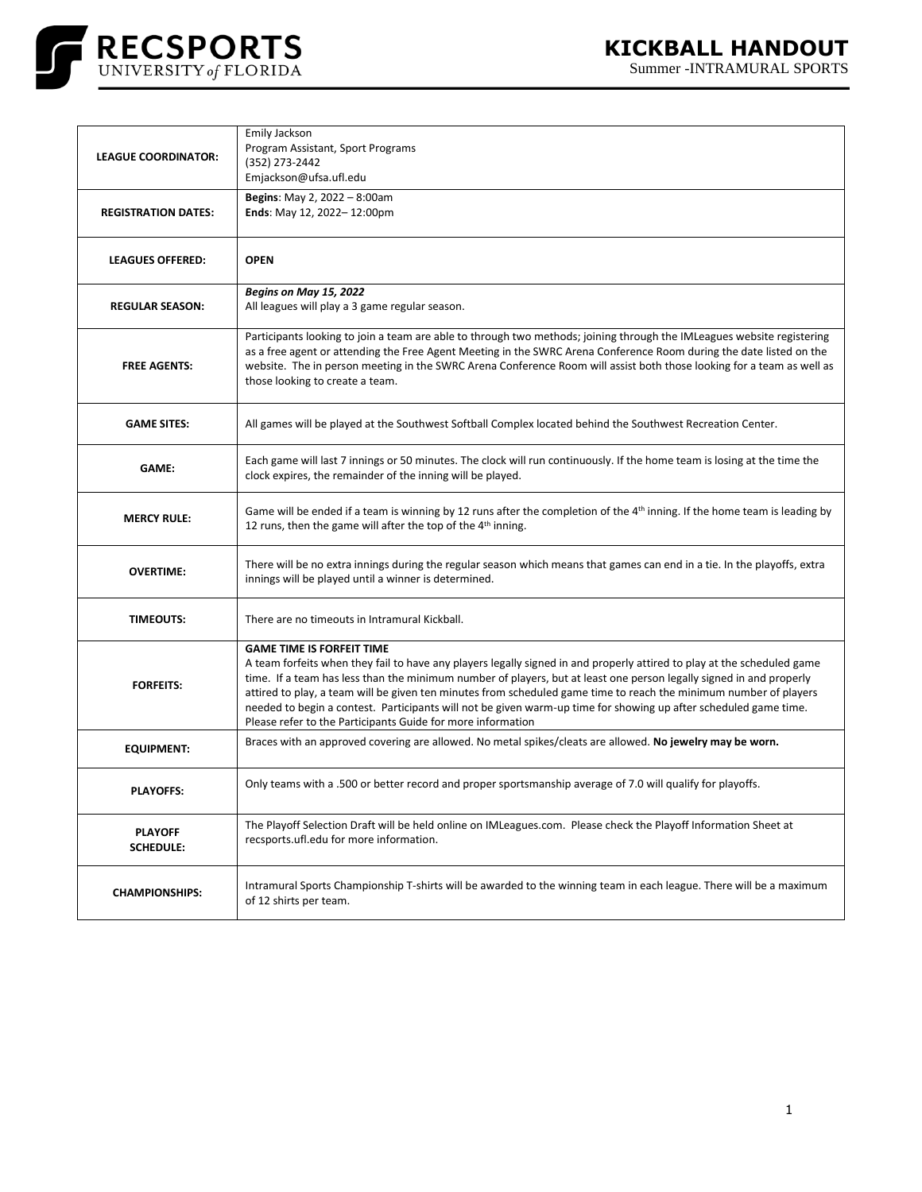

| <b>LEAGUE COORDINATOR:</b>         | Emily Jackson<br>Program Assistant, Sport Programs<br>(352) 273-2442<br>Emjackson@ufsa.ufl.edu                                                                                                                                                                                                                                                                                                                                                                                                                                                                                             |
|------------------------------------|--------------------------------------------------------------------------------------------------------------------------------------------------------------------------------------------------------------------------------------------------------------------------------------------------------------------------------------------------------------------------------------------------------------------------------------------------------------------------------------------------------------------------------------------------------------------------------------------|
| <b>REGISTRATION DATES:</b>         | Begins: May 2, 2022 - 8:00am<br>Ends: May 12, 2022-12:00pm                                                                                                                                                                                                                                                                                                                                                                                                                                                                                                                                 |
| <b>LEAGUES OFFERED:</b>            | <b>OPEN</b>                                                                                                                                                                                                                                                                                                                                                                                                                                                                                                                                                                                |
| <b>REGULAR SEASON:</b>             | Begins on May 15, 2022<br>All leagues will play a 3 game regular season.                                                                                                                                                                                                                                                                                                                                                                                                                                                                                                                   |
| <b>FREE AGENTS:</b>                | Participants looking to join a team are able to through two methods; joining through the IMLeagues website registering<br>as a free agent or attending the Free Agent Meeting in the SWRC Arena Conference Room during the date listed on the<br>website. The in person meeting in the SWRC Arena Conference Room will assist both those looking for a team as well as<br>those looking to create a team.                                                                                                                                                                                  |
| <b>GAME SITES:</b>                 | All games will be played at the Southwest Softball Complex located behind the Southwest Recreation Center.                                                                                                                                                                                                                                                                                                                                                                                                                                                                                 |
| <b>GAME:</b>                       | Each game will last 7 innings or 50 minutes. The clock will run continuously. If the home team is losing at the time the<br>clock expires, the remainder of the inning will be played.                                                                                                                                                                                                                                                                                                                                                                                                     |
| <b>MERCY RULE:</b>                 | Game will be ended if a team is winning by 12 runs after the completion of the 4 <sup>th</sup> inning. If the home team is leading by<br>12 runs, then the game will after the top of the 4 <sup>th</sup> inning.                                                                                                                                                                                                                                                                                                                                                                          |
| <b>OVERTIME:</b>                   | There will be no extra innings during the regular season which means that games can end in a tie. In the playoffs, extra<br>innings will be played until a winner is determined.                                                                                                                                                                                                                                                                                                                                                                                                           |
| <b>TIMEOUTS:</b>                   | There are no timeouts in Intramural Kickball.                                                                                                                                                                                                                                                                                                                                                                                                                                                                                                                                              |
| <b>FORFEITS:</b>                   | <b>GAME TIME IS FORFEIT TIME</b><br>A team forfeits when they fail to have any players legally signed in and properly attired to play at the scheduled game<br>time. If a team has less than the minimum number of players, but at least one person legally signed in and properly<br>attired to play, a team will be given ten minutes from scheduled game time to reach the minimum number of players<br>needed to begin a contest. Participants will not be given warm-up time for showing up after scheduled game time.<br>Please refer to the Participants Guide for more information |
| <b>EQUIPMENT:</b>                  | Braces with an approved covering are allowed. No metal spikes/cleats are allowed. No jewelry may be worn.                                                                                                                                                                                                                                                                                                                                                                                                                                                                                  |
| <b>PLAYOFFS:</b>                   | Only teams with a .500 or better record and proper sportsmanship average of 7.0 will qualify for playoffs.                                                                                                                                                                                                                                                                                                                                                                                                                                                                                 |
| <b>PLAYOFF</b><br><b>SCHEDULE:</b> | The Playoff Selection Draft will be held online on IMLeagues.com. Please check the Playoff Information Sheet at<br>recsports.ufl.edu for more information.                                                                                                                                                                                                                                                                                                                                                                                                                                 |
| <b>CHAMPIONSHIPS:</b>              | Intramural Sports Championship T-shirts will be awarded to the winning team in each league. There will be a maximum<br>of 12 shirts per team.                                                                                                                                                                                                                                                                                                                                                                                                                                              |